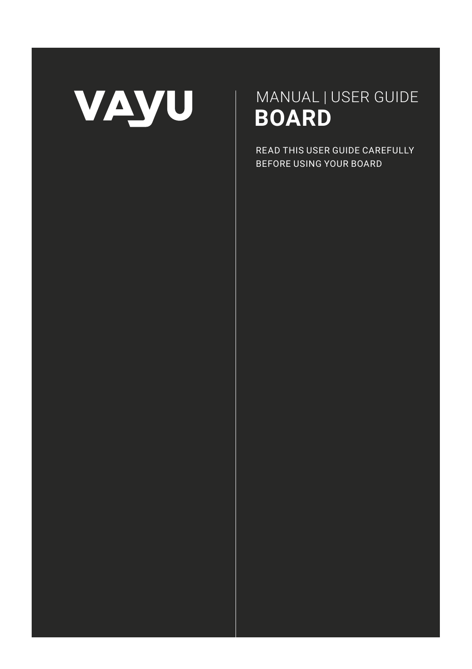

# MANUAL | USER GUIDE  **BOARD**

READ THIS USER GUIDE CAREFULLY BEFORE USING YOUR BOARD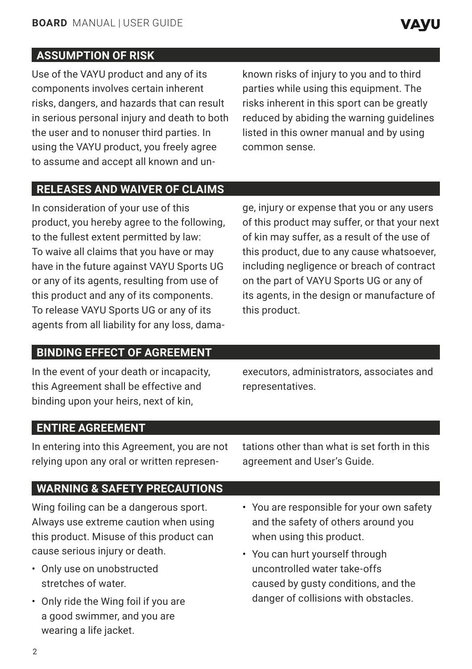Use of the VAYU product and any of its components involves certain inherent risks, dangers, and hazards that can result in serious personal injury and death to both the user and to nonuser third parties. In using the VAYU product, you freely agree to assume and accept all known and un-

known risks of injury to you and to third parties while using this equipment. The risks inherent in this sport can be greatly reduced by abiding the warning guidelines listed in this owner manual and by using common sense.

**VAVU** 

## **RELEASES AND WAIVER OF CLAIMS**

In consideration of your use of this product, you hereby agree to the following, to the fullest extent permitted by law: To waive all claims that you have or may have in the future against VAYU Sports UG or any of its agents, resulting from use of this product and any of its components. To release VAYU Sports UG or any of its agents from all liability for any loss, dama-

ge, injury or expense that you or any users of this product may suffer, or that your next of kin may suffer, as a result of the use of this product, due to any cause whatsoever, including negligence or breach of contract on the part of VAYU Sports UG or any of its agents, in the design or manufacture of this product.

# **BINDING EFFECT OF AGREEMENT**

In the event of your death or incapacity, this Agreement shall be effective and binding upon your heirs, next of kin,

executors, administrators, associates and representatives.

# **ENTIRE AGREEMENT**

In entering into this Agreement, you are not relying upon any oral or written representations other than what is set forth in this agreement and User's Guide.

# **WARNING & SAFETY PRECAUTIONS**

Wing foiling can be a dangerous sport. Always use extreme caution when using this product. Misuse of this product can cause serious injury or death.

- Only use on unobstructed stretches of water.
- Only ride the Wing foil if you are a good swimmer, and you are wearing a life jacket.
- You are responsible for your own safety and the safety of others around you when using this product.
- You can hurt yourself through uncontrolled water take-offs caused by gusty conditions, and the danger of collisions with obstacles.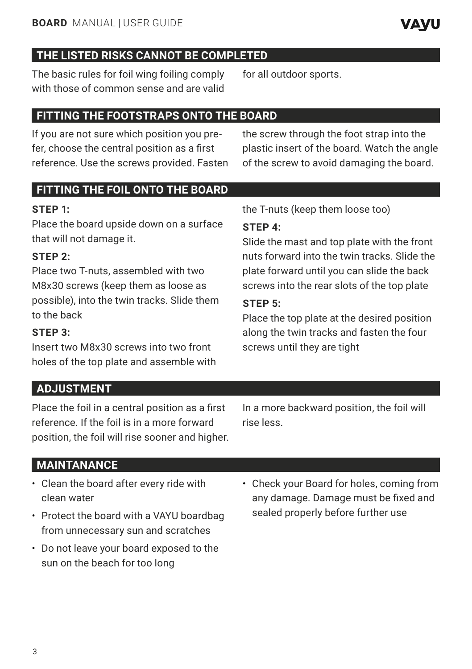The basic rules for foil wing foiling comply with those of common sense and are valid

# **FITTING THE FOOTSTRAPS ONTO THE BOARD**

If you are not sure which position you prefer, choose the central position as a first reference. Use the screws provided. Fasten

the screw through the foot strap into the plastic insert of the board. Watch the angle of the screw to avoid damaging the board.

# **FITTING THE FOIL ONTO THE BOARD**

## **STEP 1:**

Place the board upside down on a surface that will not damage it.

# **STEP 2:**

Place two T-nuts, assembled with two M8x30 screws (keep them as loose as possible), into the twin tracks. Slide them to the back

#### **STEP 3:**

Insert two M8x30 screws into two front holes of the top plate and assemble with

**ADJUSTMENT**

Place the foil in a central position as a first reference. If the foil is in a more forward position, the foil will rise sooner and higher. In a more backward position, the foil will rise less.

# **MAINTANANCE**

- Clean the board after every ride with clean water
- Protect the board with a VAYU boardbag from unnecessary sun and scratches
- Do not leave your board exposed to the sun on the beach for too long
- Check your Board for holes, coming from any damage. Damage must be fixed and sealed properly before further use

the T-nuts (keep them loose too)

for all outdoor sports.

# **STEP 4:**

Slide the mast and top plate with the front nuts forward into the twin tracks. Slide the plate forward until you can slide the back screws into the rear slots of the top plate

#### **STEP 5:**

Place the top plate at the desired position along the twin tracks and fasten the four screws until they are tight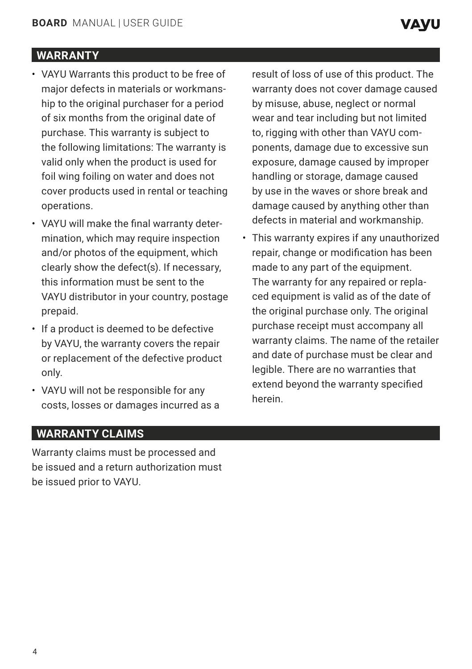# **WARRANTY**

- VAYU Warrants this product to be free of major defects in materials or workmanship to the original purchaser for a period of six months from the original date of purchase. This warranty is subject to the following limitations: The warranty is valid only when the product is used for foil wing foiling on water and does not cover products used in rental or teaching operations.
- VAYU will make the final warranty determination, which may require inspection and/or photos of the equipment, which clearly show the defect(s). If necessary, this information must be sent to the VAYU distributor in your country, postage prepaid.
- If a product is deemed to be defective by VAYU, the warranty covers the repair or replacement of the defective product only.
- VAYU will not be responsible for any costs, losses or damages incurred as a

result of loss of use of this product. The warranty does not cover damage caused by misuse, abuse, neglect or normal wear and tear including but not limited to, rigging with other than VAYU components, damage due to excessive sun exposure, damage caused by improper handling or storage, damage caused by use in the waves or shore break and damage caused by anything other than defects in material and workmanship.

• This warranty expires if any unauthorized repair, change or modification has been made to any part of the equipment. The warranty for any repaired or replaced equipment is valid as of the date of the original purchase only. The original purchase receipt must accompany all warranty claims. The name of the retailer and date of purchase must be clear and legible. There are no warranties that extend beyond the warranty specified herein.

### **WARRANTY CLAIMS**

Warranty claims must be processed and be issued and a return authorization must be issued prior to VAYU.